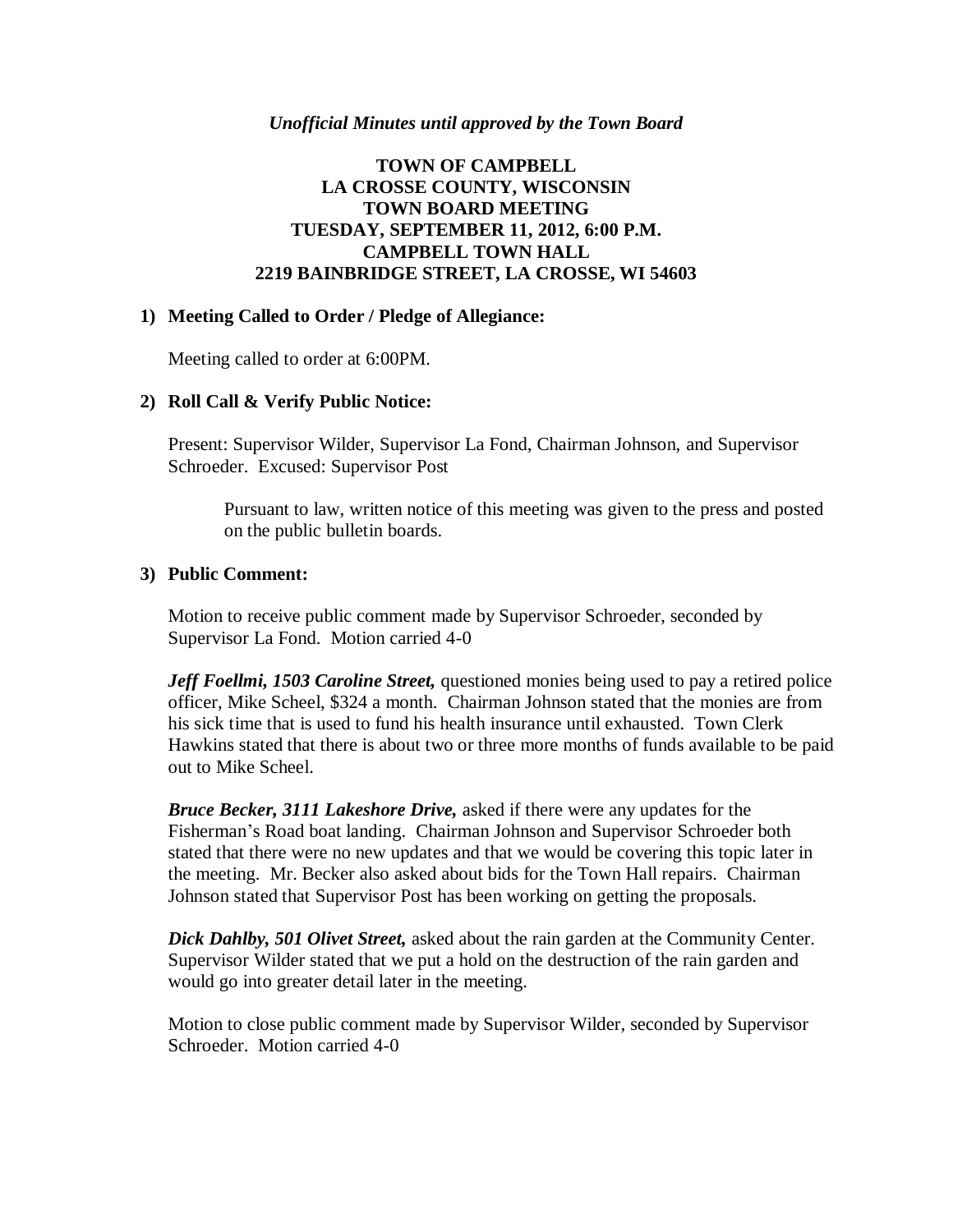### *Unofficial Minutes until approved by the Town Board*

# **TOWN OF CAMPBELL LA CROSSE COUNTY, WISCONSIN TOWN BOARD MEETING TUESDAY, SEPTEMBER 11, 2012, 6:00 P.M. CAMPBELL TOWN HALL 2219 BAINBRIDGE STREET, LA CROSSE, WI 54603**

## **1) Meeting Called to Order / Pledge of Allegiance:**

Meeting called to order at 6:00PM.

## **2) Roll Call & Verify Public Notice:**

Present: Supervisor Wilder, Supervisor La Fond, Chairman Johnson, and Supervisor Schroeder. Excused: Supervisor Post

Pursuant to law, written notice of this meeting was given to the press and posted on the public bulletin boards.

## **3) Public Comment:**

Motion to receive public comment made by Supervisor Schroeder, seconded by Supervisor La Fond. Motion carried 4-0

*Jeff Foellmi, 1503 Caroline Street,* questioned monies being used to pay a retired police officer, Mike Scheel, \$324 a month. Chairman Johnson stated that the monies are from his sick time that is used to fund his health insurance until exhausted. Town Clerk Hawkins stated that there is about two or three more months of funds available to be paid out to Mike Scheel.

*Bruce Becker, 3111 Lakeshore Drive,* asked if there were any updates for the Fisherman's Road boat landing. Chairman Johnson and Supervisor Schroeder both stated that there were no new updates and that we would be covering this topic later in the meeting. Mr. Becker also asked about bids for the Town Hall repairs. Chairman Johnson stated that Supervisor Post has been working on getting the proposals.

*Dick Dahlby, 501 Olivet Street,* asked about the rain garden at the Community Center. Supervisor Wilder stated that we put a hold on the destruction of the rain garden and would go into greater detail later in the meeting.

Motion to close public comment made by Supervisor Wilder, seconded by Supervisor Schroeder. Motion carried 4-0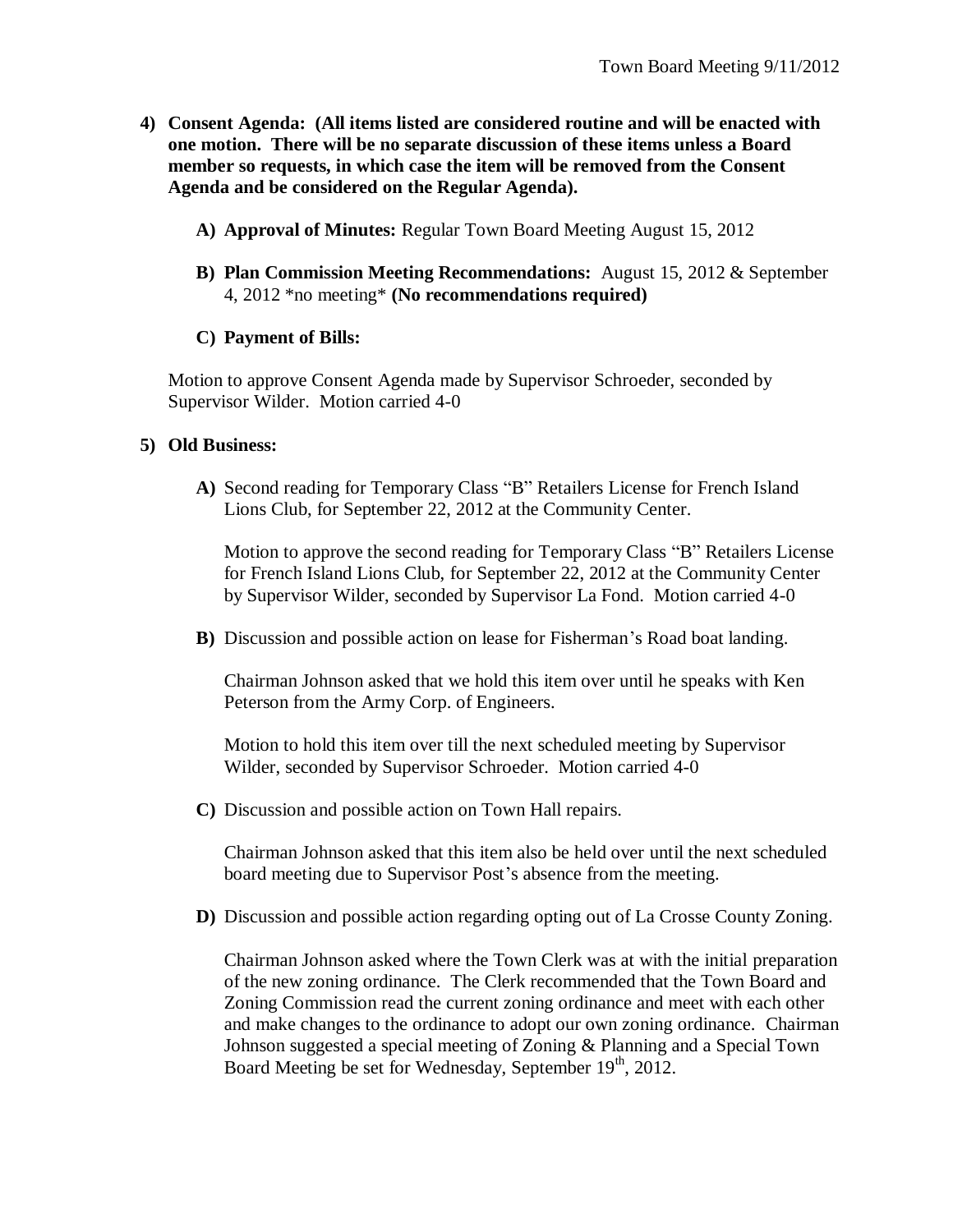- **4) Consent Agenda: (All items listed are considered routine and will be enacted with one motion. There will be no separate discussion of these items unless a Board member so requests, in which case the item will be removed from the Consent Agenda and be considered on the Regular Agenda).**
	- **A) Approval of Minutes:** Regular Town Board Meeting August 15, 2012
	- **B) Plan Commission Meeting Recommendations:** August 15, 2012 & September 4, 2012 \*no meeting\* **(No recommendations required)**

#### **C) Payment of Bills:**

Motion to approve Consent Agenda made by Supervisor Schroeder, seconded by Supervisor Wilder. Motion carried 4-0

#### **5) Old Business:**

**A)** Second reading for Temporary Class "B" Retailers License for French Island Lions Club, for September 22, 2012 at the Community Center.

Motion to approve the second reading for Temporary Class "B" Retailers License for French Island Lions Club, for September 22, 2012 at the Community Center by Supervisor Wilder, seconded by Supervisor La Fond. Motion carried 4-0

**B)** Discussion and possible action on lease for Fisherman's Road boat landing.

Chairman Johnson asked that we hold this item over until he speaks with Ken Peterson from the Army Corp. of Engineers.

Motion to hold this item over till the next scheduled meeting by Supervisor Wilder, seconded by Supervisor Schroeder. Motion carried 4-0

**C)** Discussion and possible action on Town Hall repairs.

Chairman Johnson asked that this item also be held over until the next scheduled board meeting due to Supervisor Post's absence from the meeting.

**D)** Discussion and possible action regarding opting out of La Crosse County Zoning.

Chairman Johnson asked where the Town Clerk was at with the initial preparation of the new zoning ordinance. The Clerk recommended that the Town Board and Zoning Commission read the current zoning ordinance and meet with each other and make changes to the ordinance to adopt our own zoning ordinance. Chairman Johnson suggested a special meeting of Zoning & Planning and a Special Town Board Meeting be set for Wednesday, September 19<sup>th</sup>, 2012.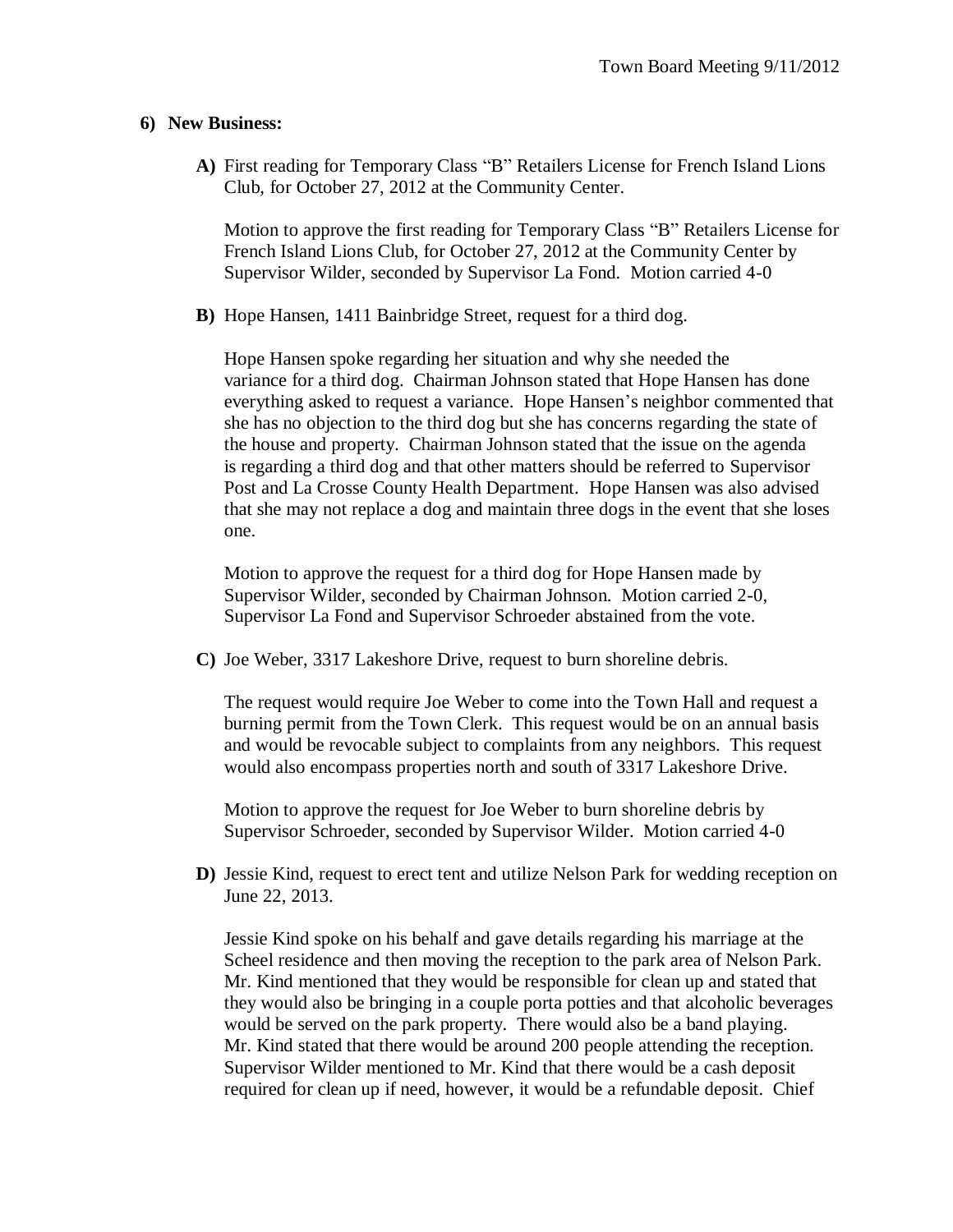## **6) New Business:**

**A)** First reading for Temporary Class "B" Retailers License for French Island Lions Club, for October 27, 2012 at the Community Center.

Motion to approve the first reading for Temporary Class "B" Retailers License for French Island Lions Club, for October 27, 2012 at the Community Center by Supervisor Wilder, seconded by Supervisor La Fond. Motion carried 4-0

**B)** Hope Hansen, 1411 Bainbridge Street, request for a third dog.

Hope Hansen spoke regarding her situation and why she needed the variance for a third dog. Chairman Johnson stated that Hope Hansen has done everything asked to request a variance. Hope Hansen's neighbor commented that she has no objection to the third dog but she has concerns regarding the state of the house and property. Chairman Johnson stated that the issue on the agenda is regarding a third dog and that other matters should be referred to Supervisor Post and La Crosse County Health Department. Hope Hansen was also advised that she may not replace a dog and maintain three dogs in the event that she loses one.

Motion to approve the request for a third dog for Hope Hansen made by Supervisor Wilder, seconded by Chairman Johnson. Motion carried 2-0, Supervisor La Fond and Supervisor Schroeder abstained from the vote.

**C)** Joe Weber, 3317 Lakeshore Drive, request to burn shoreline debris.

The request would require Joe Weber to come into the Town Hall and request a burning permit from the Town Clerk. This request would be on an annual basis and would be revocable subject to complaints from any neighbors. This request would also encompass properties north and south of 3317 Lakeshore Drive.

Motion to approve the request for Joe Weber to burn shoreline debris by Supervisor Schroeder, seconded by Supervisor Wilder. Motion carried 4-0

**D)** Jessie Kind, request to erect tent and utilize Nelson Park for wedding reception on June 22, 2013.

Jessie Kind spoke on his behalf and gave details regarding his marriage at the Scheel residence and then moving the reception to the park area of Nelson Park. Mr. Kind mentioned that they would be responsible for clean up and stated that they would also be bringing in a couple porta potties and that alcoholic beverages would be served on the park property. There would also be a band playing. Mr. Kind stated that there would be around 200 people attending the reception. Supervisor Wilder mentioned to Mr. Kind that there would be a cash deposit required for clean up if need, however, it would be a refundable deposit. Chief